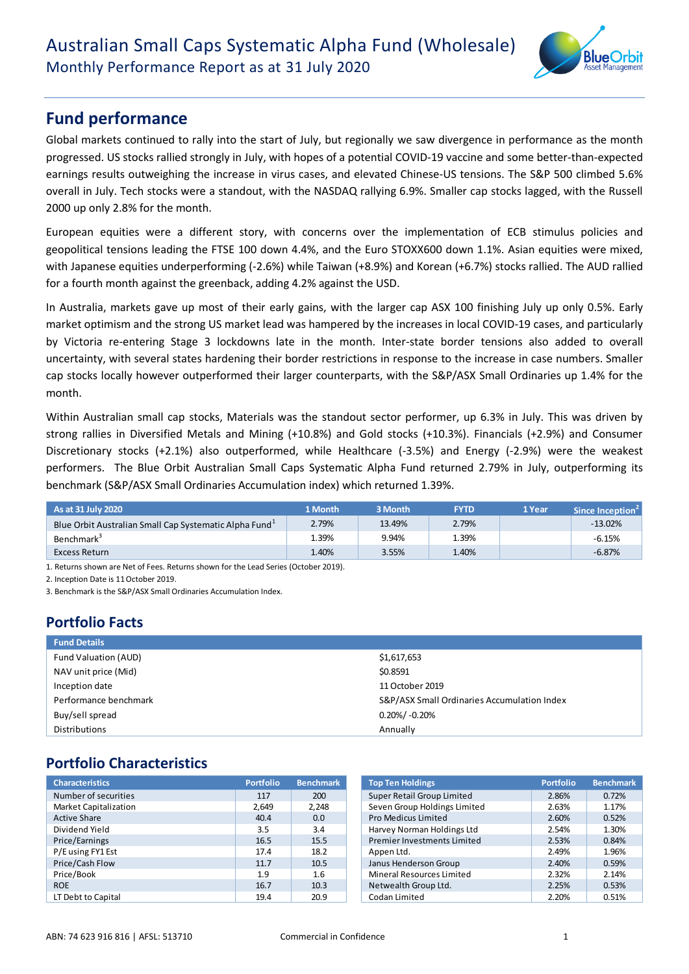

# **Fund performance**

Global markets continued to rally into the start of July, but regionally we saw divergence in performance as the month progressed. US stocks rallied strongly in July, with hopes of a potential COVID-19 vaccine and some better-than-expected earnings results outweighing the increase in virus cases, and elevated Chinese-US tensions. The S&P 500 climbed 5.6% overall in July. Tech stocks were a standout, with the NASDAQ rallying 6.9%. Smaller cap stocks lagged, with the Russell 2000 up only 2.8% for the month.

European equities were a different story, with concerns over the implementation of ECB stimulus policies and geopolitical tensions leading the FTSE 100 down 4.4%, and the Euro STOXX600 down 1.1%. Asian equities were mixed, with Japanese equities underperforming (-2.6%) while Taiwan (+8.9%) and Korean (+6.7%) stocks rallied. The AUD rallied for a fourth month against the greenback, adding 4.2% against the USD.

In Australia, markets gave up most of their early gains, with the larger cap ASX 100 finishing July up only 0.5%. Early market optimism and the strong US market lead was hampered by the increases in local COVID-19 cases, and particularly by Victoria re-entering Stage 3 lockdowns late in the month. Inter-state border tensions also added to overall uncertainty, with several states hardening their border restrictions in response to the increase in case numbers. Smaller cap stocks locally however outperformed their larger counterparts, with the S&P/ASX Small Ordinaries up 1.4% for the month.

Within Australian small cap stocks, Materials was the standout sector performer, up 6.3% in July. This was driven by strong rallies in Diversified Metals and Mining (+10.8%) and Gold stocks (+10.3%). Financials (+2.9%) and Consumer Discretionary stocks (+2.1%) also outperformed, while Healthcare (-3.5%) and Energy (-2.9%) were the weakest performers. The Blue Orbit Australian Small Caps Systematic Alpha Fund returned 2.79% in July, outperforming its benchmark (S&P/ASX Small Ordinaries Accumulation index) which returned 1.39%.

| As at 31 July 2020                                                 | 1 Month | 3 Month | <b>FYTD</b> | 1 Year | Since Inception <sup>2</sup> |
|--------------------------------------------------------------------|---------|---------|-------------|--------|------------------------------|
| Blue Orbit Australian Small Cap Systematic Alpha Fund <sup>1</sup> | 2.79%   | 13.49%  | 2.79%       |        | $-13.02%$                    |
| Benchmark <sup>3</sup>                                             | 1.39%   | 9.94%   | 1.39%       |        | $-6.15%$                     |
| Excess Return                                                      | 1.40%   | 3.55%   | 1.40%       |        | $-6.87%$                     |

1. Returns shown are Net of Fees. Returns shown for the Lead Series (October 2019).

2. Incention Date is 11 October 2019

3. Benchmark is the S&P/ASX Small Ordinaries Accumulation Index.

## **Portfolio Facts**

| <b>Fund Details</b>   |                                             |
|-----------------------|---------------------------------------------|
| Fund Valuation (AUD)  | \$1,617,653                                 |
| NAV unit price (Mid)  | \$0.8591                                    |
| Inception date        | 11 October 2019                             |
| Performance benchmark | S&P/ASX Small Ordinaries Accumulation Index |
| Buy/sell spread       | $0.20\%/$ -0.20%                            |
| Distributions         | Annually                                    |

## **Portfolio Characteristics**

| <b>Characteristics</b>       | <b>Portfolio</b> | <b>Benchmark</b> | <b>Top Ten Holdings</b>            | <b>Portfolio</b> | <b>Benchmark</b> |
|------------------------------|------------------|------------------|------------------------------------|------------------|------------------|
| Number of securities         | 117              | 200              | Super Retail Group Limited         | 2.86%            | 0.72%            |
| <b>Market Capitalization</b> | 2.649            | 2.248            | Seven Group Holdings Limited       | 2.63%            | 1.17%            |
| <b>Active Share</b>          | 40.4             | 0.0              | Pro Medicus Limited                | 2.60%            | 0.52%            |
| Dividend Yield               | 3.5              | 3.4              | Harvey Norman Holdings Ltd         | 2.54%            | 1.30%            |
| Price/Earnings               | 16.5             | 15.5             | <b>Premier Investments Limited</b> | 2.53%            | 0.84%            |
| P/E using FY1 Est            | 17.4             | 18.2             | Appen Ltd.                         | 2.49%            | 1.96%            |
| Price/Cash Flow              | 11.7             | 10.5             | Janus Henderson Group              | 2.40%            | 0.59%            |
| Price/Book                   | 1.9              | 1.6              | Mineral Resources Limited          | 2.32%            | 2.14%            |
| <b>ROE</b>                   | 16.7             | 10.3             | Netwealth Group Ltd.               | 2.25%            | 0.53%            |
| LT Debt to Capital           | 19.4             | 20.9             | Codan Limited                      | 2.20%            | 0.51%            |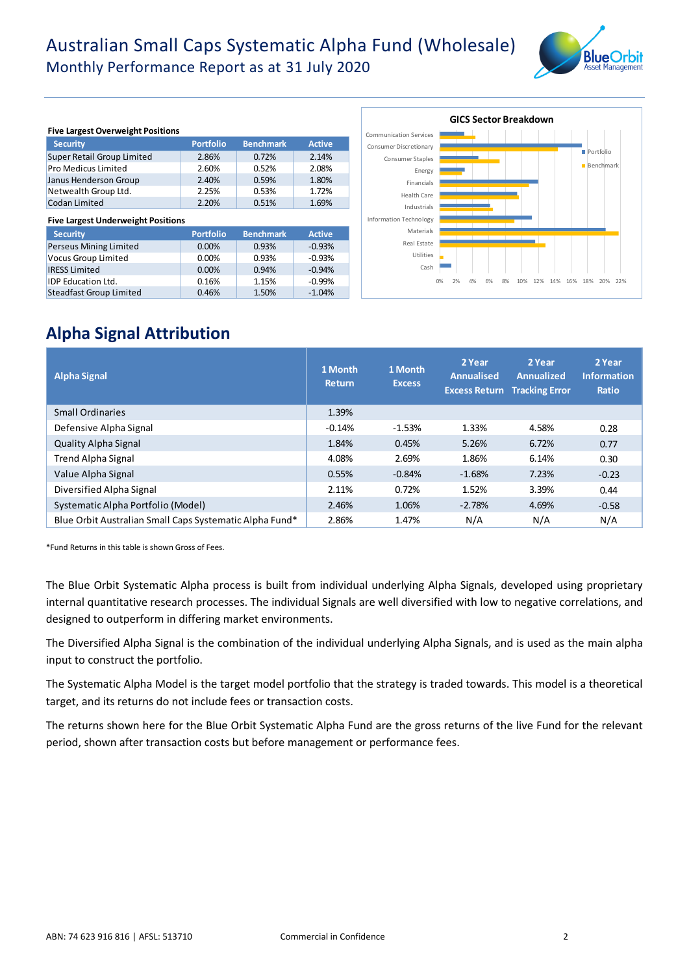# Australian Small Caps Systematic Alpha Fund (Wholesale) Monthly Performance Report as at 31 July 2020



| <b>Five Largest Overweight Positions</b>  |                  |                  |               |  |  |  |  |  |
|-------------------------------------------|------------------|------------------|---------------|--|--|--|--|--|
| <b>Security</b>                           | <b>Portfolio</b> | <b>Benchmark</b> | <b>Active</b> |  |  |  |  |  |
| Super Retail Group Limited                | 2.86%            | 0.72%            | 2.14%         |  |  |  |  |  |
| Pro Medicus Limited                       | 2.60%            | 0.52%            | 2.08%         |  |  |  |  |  |
| Janus Henderson Group                     | 2.40%            | 0.59%            | 1.80%         |  |  |  |  |  |
| Netwealth Group Ltd.                      | 2.25%            | 0.53%            | 1.72%         |  |  |  |  |  |
| Codan Limited                             | 2.20%            | 0.51%            | 1.69%         |  |  |  |  |  |
|                                           |                  |                  |               |  |  |  |  |  |
| <b>Five Largest Underweight Positions</b> |                  |                  |               |  |  |  |  |  |
| <b>Security</b>                           | <b>Portfolio</b> | <b>Benchmark</b> | <b>Active</b> |  |  |  |  |  |
| Perseus Mining Limited                    | 0.00%            | 0.93%            | $-0.93%$      |  |  |  |  |  |
| <b>Vocus Group Limited</b>                | 0.00%            | 0.93%            | $-0.93%$      |  |  |  |  |  |
| <b>IRESS Limited</b>                      | 0.00%            | 0.94%            | $-0.94%$      |  |  |  |  |  |
| <b>IDP Education Ltd.</b>                 | 0.16%            | 1.15%            | $-0.99%$      |  |  |  |  |  |



## **Alpha Signal Attribution**

| <b>Alpha Signal</b>                                     | 1 Month<br><b>Return</b> | 1 Month<br><b>Excess</b> | 2 Year<br><b>Annualised</b> | 2 Year<br><b>Annualized</b><br><b>Excess Return Tracking Error</b> | 2 Year<br><b>Information</b><br>Ratio |
|---------------------------------------------------------|--------------------------|--------------------------|-----------------------------|--------------------------------------------------------------------|---------------------------------------|
| <b>Small Ordinaries</b>                                 | 1.39%                    |                          |                             |                                                                    |                                       |
| Defensive Alpha Signal                                  | $-0.14%$                 | $-1.53%$                 | 1.33%                       | 4.58%                                                              | 0.28                                  |
| <b>Quality Alpha Signal</b>                             | 1.84%                    | 0.45%                    | 5.26%                       | 6.72%                                                              | 0.77                                  |
| <b>Trend Alpha Signal</b>                               | 4.08%                    | 2.69%                    | 1.86%                       | 6.14%                                                              | 0.30                                  |
| Value Alpha Signal                                      | 0.55%                    | $-0.84%$                 | $-1.68%$                    | 7.23%                                                              | $-0.23$                               |
| Diversified Alpha Signal                                | 2.11%                    | 0.72%                    | 1.52%                       | 3.39%                                                              | 0.44                                  |
| Systematic Alpha Portfolio (Model)                      | 2.46%                    | 1.06%                    | $-2.78%$                    | 4.69%                                                              | $-0.58$                               |
| Blue Orbit Australian Small Caps Systematic Alpha Fund* | 2.86%                    | 1.47%                    | N/A                         | N/A                                                                | N/A                                   |

\*Fund Returns in this table is shown Gross of Fees.

The Blue Orbit Systematic Alpha process is built from individual underlying Alpha Signals, developed using proprietary internal quantitative research processes. The individual Signals are well diversified with low to negative correlations, and designed to outperform in differing market environments.

The Diversified Alpha Signal is the combination of the individual underlying Alpha Signals, and is used as the main alpha input to construct the portfolio.

The Systematic Alpha Model is the target model portfolio that the strategy is traded towards. This model is a theoretical target, and its returns do not include fees or transaction costs.

The returns shown here for the Blue Orbit Systematic Alpha Fund are the gross returns of the live Fund for the relevant period, shown after transaction costs but before management or performance fees.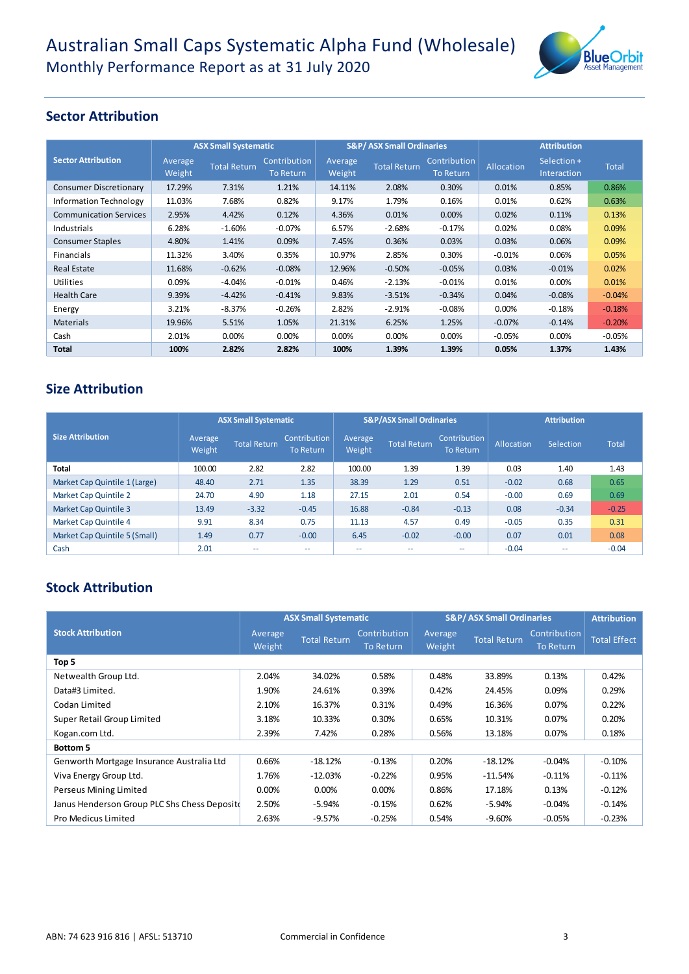

### **Sector Attribution**

|                               | <b>ASX Small Systematic</b> |                     |                                  |                   | <b>S&amp;P/ASX Small Ordinaries</b> |                                  | <b>Attribution</b> |                            |              |
|-------------------------------|-----------------------------|---------------------|----------------------------------|-------------------|-------------------------------------|----------------------------------|--------------------|----------------------------|--------------|
| <b>Sector Attribution</b>     | Average<br>Weight           | <b>Total Return</b> | Contribution<br><b>To Return</b> | Average<br>Weight | <b>Total Return</b>                 | Contribution<br><b>To Return</b> | Allocation         | Selection +<br>Interaction | <b>Total</b> |
| <b>Consumer Discretionary</b> | 17.29%                      | 7.31%               | 1.21%                            | 14.11%            | 2.08%                               | 0.30%                            | 0.01%              | 0.85%                      | 0.86%        |
| <b>Information Technology</b> | 11.03%                      | 7.68%               | 0.82%                            | 9.17%             | 1.79%                               | 0.16%                            | 0.01%              | 0.62%                      | 0.63%        |
| <b>Communication Services</b> | 2.95%                       | 4.42%               | 0.12%                            | 4.36%             | 0.01%                               | 0.00%                            | 0.02%              | 0.11%                      | 0.13%        |
| Industrials                   | 6.28%                       | $-1.60%$            | $-0.07%$                         | 6.57%             | $-2.68%$                            | $-0.17%$                         | 0.02%              | 0.08%                      | 0.09%        |
| <b>Consumer Staples</b>       | 4.80%                       | 1.41%               | 0.09%                            | 7.45%             | 0.36%                               | 0.03%                            | 0.03%              | 0.06%                      | 0.09%        |
| <b>Financials</b>             | 11.32%                      | 3.40%               | 0.35%                            | 10.97%            | 2.85%                               | 0.30%                            | $-0.01%$           | 0.06%                      | 0.05%        |
| <b>Real Estate</b>            | 11.68%                      | $-0.62%$            | $-0.08%$                         | 12.96%            | $-0.50%$                            | $-0.05%$                         | 0.03%              | $-0.01%$                   | 0.02%        |
| <b>Utilities</b>              | 0.09%                       | $-4.04%$            | $-0.01%$                         | 0.46%             | $-2.13%$                            | $-0.01%$                         | 0.01%              | 0.00%                      | 0.01%        |
| <b>Health Care</b>            | 9.39%                       | $-4.42%$            | $-0.41%$                         | 9.83%             | $-3.51%$                            | $-0.34%$                         | 0.04%              | $-0.08%$                   | $-0.04%$     |
| Energy                        | 3.21%                       | $-8.37%$            | $-0.26%$                         | 2.82%             | $-2.91%$                            | $-0.08%$                         | $0.00\%$           | $-0.18%$                   | $-0.18%$     |
| <b>Materials</b>              | 19.96%                      | 5.51%               | 1.05%                            | 21.31%            | 6.25%                               | 1.25%                            | $-0.07\%$          | $-0.14%$                   | $-0.20%$     |
| Cash                          | 2.01%                       | 0.00%               | 0.00%                            | 0.00%             | 0.00%                               | 0.00%                            | $-0.05%$           | $0.00\%$                   | $-0.05%$     |
| <b>Total</b>                  | 100%                        | 2.82%               | 2.82%                            | 100%              | 1.39%                               | 1.39%                            | 0.05%              | 1.37%                      | 1.43%        |

### **Size Attribution**

|                               | <b>ASX Small Systematic</b> |                          |                                  |                   | <b>S&amp;P/ASX Small Ordinaries</b> |                                  | <b>Attribution</b> |           |              |
|-------------------------------|-----------------------------|--------------------------|----------------------------------|-------------------|-------------------------------------|----------------------------------|--------------------|-----------|--------------|
| <b>Size Attribution</b>       | Average<br>Weight           | <b>Total Return</b>      | Contribution<br><b>To Return</b> | Average<br>Weight | <b>Total Return</b>                 | Contribution<br><b>To Return</b> | Allocation         | Selection | <b>Total</b> |
| Total                         | 100.00                      | 2.82                     | 2.82                             | 100.00            | 1.39                                | 1.39                             | 0.03               | 1.40      | 1.43         |
| Market Cap Quintile 1 (Large) | 48.40                       | 2.71                     | 1.35                             | 38.39             | 1.29                                | 0.51                             | $-0.02$            | 0.68      | 0.65         |
| Market Cap Quintile 2         | 24.70                       | 4.90                     | 1.18                             | 27.15             | 2.01                                | 0.54                             | $-0.00$            | 0.69      | 0.69         |
| <b>Market Cap Quintile 3</b>  | 13.49                       | $-3.32$                  | $-0.45$                          | 16.88             | $-0.84$                             | $-0.13$                          | 0.08               | $-0.34$   | $-0.25$      |
| Market Cap Quintile 4         | 9.91                        | 8.34                     | 0.75                             | 11.13             | 4.57                                | 0.49                             | $-0.05$            | 0.35      | 0.31         |
| Market Cap Quintile 5 (Small) | 1.49                        | 0.77                     | $-0.00$                          | 6.45              | $-0.02$                             | $-0.00$                          | 0.07               | 0.01      | 0.08         |
| Cash                          | 2.01                        | $\overline{\phantom{m}}$ | --                               | --                | $- -$                               | ۰.                               | $-0.04$            | --        | $-0.04$      |
|                               |                             |                          |                                  |                   |                                     |                                  |                    |           |              |

## **Stock Attribution**

|                                              |                   | <b>ASX Small Systematic</b> |                                  | <b>S&amp;P/ASX Small Ordinaries</b> | <b>Attribution</b>  |                           |                     |
|----------------------------------------------|-------------------|-----------------------------|----------------------------------|-------------------------------------|---------------------|---------------------------|---------------------|
| <b>Stock Attribution</b>                     | Average<br>Weight | <b>Total Return</b>         | Contribution<br><b>To Return</b> | Average<br>Weight                   | <b>Total Return</b> | Contribution<br>To Return | <b>Total Effect</b> |
| Top 5                                        |                   |                             |                                  |                                     |                     |                           |                     |
| Netwealth Group Ltd.                         | 2.04%             | 34.02%                      | 0.58%                            | 0.48%                               | 33.89%              | 0.13%                     | 0.42%               |
| Data#3 Limited.                              | 1.90%             | 24.61%                      | 0.39%                            | 0.42%                               | 24.45%              | 0.09%                     | 0.29%               |
| Codan Limited                                | 2.10%             | 16.37%                      | 0.31%                            | 0.49%                               | 16.36%              | 0.07%                     | 0.22%               |
| Super Retail Group Limited                   | 3.18%             | 10.33%                      | 0.30%                            | 0.65%                               | 10.31%              | 0.07%                     | 0.20%               |
| Kogan.com Ltd.                               | 2.39%             | 7.42%                       | 0.28%                            | 0.56%                               | 13.18%              | 0.07%                     | 0.18%               |
| Bottom 5                                     |                   |                             |                                  |                                     |                     |                           |                     |
| Genworth Mortgage Insurance Australia Ltd    | 0.66%             | $-18.12%$                   | $-0.13%$                         | 0.20%                               | $-18.12%$           | $-0.04%$                  | $-0.10%$            |
| Viva Energy Group Ltd.                       | 1.76%             | $-12.03%$                   | $-0.22%$                         | 0.95%                               | $-11.54%$           | $-0.11%$                  | $-0.11%$            |
| Perseus Mining Limited                       | 0.00%             | 0.00%                       | 0.00%                            | 0.86%                               | 17.18%              | 0.13%                     | $-0.12%$            |
| Janus Henderson Group PLC Shs Chess Deposite | 2.50%             | $-5.94%$                    | $-0.15%$                         | 0.62%                               | $-5.94%$            | $-0.04%$                  | $-0.14%$            |
| Pro Medicus Limited                          | 2.63%             | -9.57%                      | $-0.25%$                         | 0.54%                               | $-9.60%$            | $-0.05%$                  | $-0.23%$            |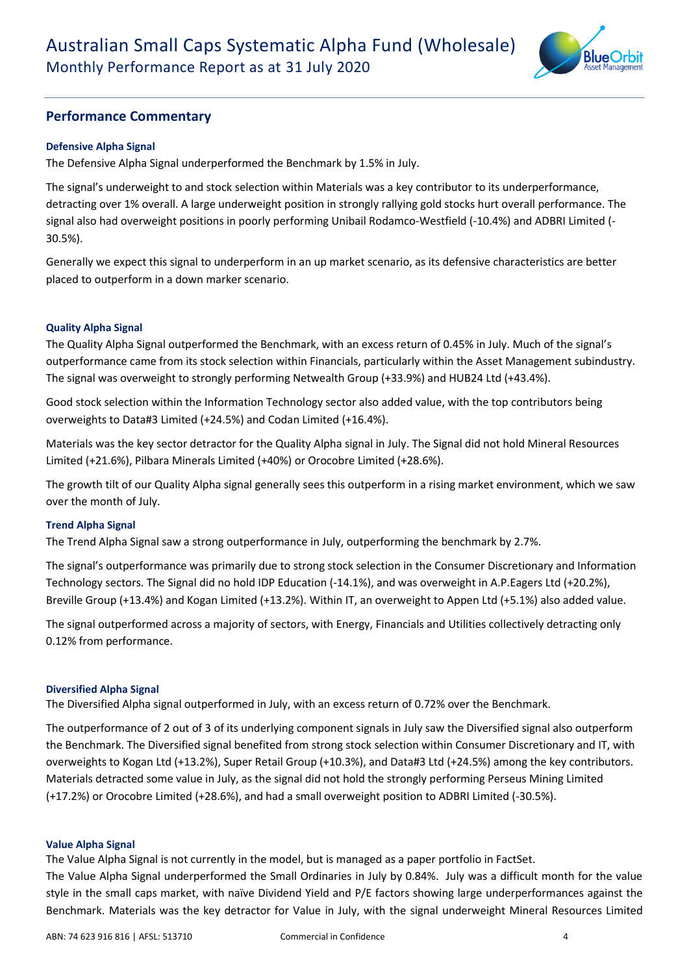

### **Performance Commentary**

#### **Defensive Alpha Signal**

The Defensive Alpha Signal underperformed the Benchmark by 1.5% in July.

The signal's underweight to and stock selection within Materials was a key contributor to its underperformance, detracting over 1% overall. A large underweight position in strongly rallying gold stocks hurt overall performance. The signal also had overweight positions in poorly performing Unibail Rodamco-Westfield (-10.4%) and ADBRI Limited (- 30.5%).

Generally we expect this signal to underperform in an up market scenario, as its defensive characteristics are better placed to outperform in a down marker scenario.

#### **Quality Alpha Signal**

The Quality Alpha Signal outperformed the Benchmark, with an excess return of 0.45% in July. Much of the signal's outperformance came from its stock selection within Financials, particularly within the Asset Management subindustry. The signal was overweight to strongly performing Netwealth Group (+33.9%) and HUB24 Ltd (+43.4%).

Good stock selection within the Information Technology sector also added value, with the top contributors being overweights to Data#3 Limited (+24.5%) and Codan Limited (+16.4%).

Materials was the key sector detractor for the Quality Alpha signal in July. The Signal did not hold Mineral Resources Limited (+21.6%), Pilbara Minerals Limited (+40%) or Orocobre Limited (+28.6%).

The growth tilt of our Quality Alpha signal generally sees this outperform in a rising market environment, which we saw over the month of July.

#### **Trend Alpha Signal**

The Trend Alpha Signal saw a strong outperformance in July, outperforming the benchmark by 2.7%.

The signal's outperformance was primarily due to strong stock selection in the Consumer Discretionary and Information Technology sectors. The Signal did no hold IDP Education (-14.1%), and was overweight in A.P.Eagers Ltd (+20.2%), Breville Group (+13.4%) and Kogan Limited (+13.2%). Within IT, an overweight to Appen Ltd (+5.1%) also added value.

The signal outperformed across a majority of sectors, with Energy, Financials and Utilities collectively detracting only 0.12% from performance.

#### **Diversified Alpha Signal**

The Diversified Alpha signal outperformed in July, with an excess return of 0.72% over the Benchmark.

The outperformance of 2 out of 3 of its underlying component signals in July saw the Diversified signal also outperform the Benchmark. The Diversified signal benefited from strong stock selection within Consumer Discretionary and IT, with overweights to Kogan Ltd (+13.2%), Super Retail Group (+10.3%), and Data#3 Ltd (+24.5%) among the key contributors. Materials detracted some value in July, as the signal did not hold the strongly performing Perseus Mining Limited (+17.2%) or Orocobre Limited (+28.6%), and had a small overweight position to ADBRI Limited (-30.5%).

#### **Value Alpha Signal**

The Value Alpha Signal is not currently in the model, but is managed as a paper portfolio in FactSet. The Value Alpha Signal underperformed the Small Ordinaries in July by 0.84%. July was a difficult month for the value

style in the small caps market, with naïve Dividend Yield and P/E factors showing large underperformances against the Benchmark. Materials was the key detractor for Value in July, with the signal underweight Mineral Resources Limited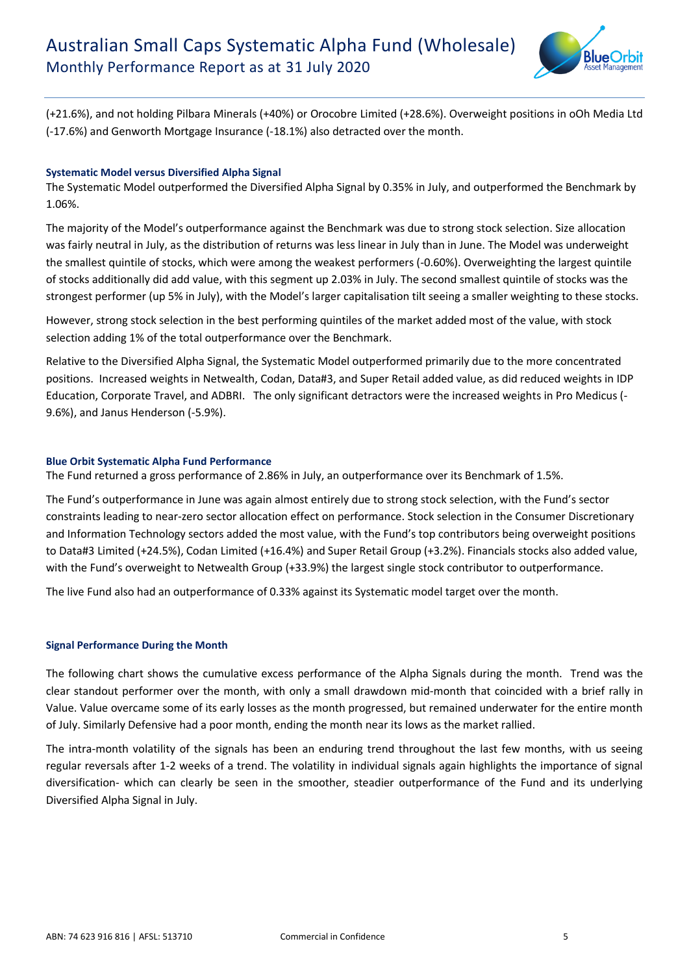

(+21.6%), and not holding Pilbara Minerals (+40%) or Orocobre Limited (+28.6%). Overweight positions in oOh Media Ltd (-17.6%) and Genworth Mortgage Insurance (-18.1%) also detracted over the month.

#### **Systematic Model versus Diversified Alpha Signal**

The Systematic Model outperformed the Diversified Alpha Signal by 0.35% in July, and outperformed the Benchmark by 1.06%.

The majority of the Model's outperformance against the Benchmark was due to strong stock selection. Size allocation was fairly neutral in July, as the distribution of returns was less linear in July than in June. The Model was underweight the smallest quintile of stocks, which were among the weakest performers (-0.60%). Overweighting the largest quintile of stocks additionally did add value, with this segment up 2.03% in July. The second smallest quintile of stocks was the strongest performer (up 5% in July), with the Model's larger capitalisation tilt seeing a smaller weighting to these stocks.

However, strong stock selection in the best performing quintiles of the market added most of the value, with stock selection adding 1% of the total outperformance over the Benchmark.

Relative to the Diversified Alpha Signal, the Systematic Model outperformed primarily due to the more concentrated positions. Increased weights in Netwealth, Codan, Data#3, and Super Retail added value, as did reduced weights in IDP Education, Corporate Travel, and ADBRI. The only significant detractors were the increased weights in Pro Medicus (- 9.6%), and Janus Henderson (-5.9%).

#### **Blue Orbit Systematic Alpha Fund Performance**

The Fund returned a gross performance of 2.86% in July, an outperformance over its Benchmark of 1.5%.

The Fund's outperformance in June was again almost entirely due to strong stock selection, with the Fund's sector constraints leading to near-zero sector allocation effect on performance. Stock selection in the Consumer Discretionary and Information Technology sectors added the most value, with the Fund's top contributors being overweight positions to Data#3 Limited (+24.5%), Codan Limited (+16.4%) and Super Retail Group (+3.2%). Financials stocks also added value, with the Fund's overweight to Netwealth Group (+33.9%) the largest single stock contributor to outperformance.

The live Fund also had an outperformance of 0.33% against its Systematic model target over the month.

#### **Signal Performance During the Month**

The following chart shows the cumulative excess performance of the Alpha Signals during the month. Trend was the clear standout performer over the month, with only a small drawdown mid-month that coincided with a brief rally in Value. Value overcame some of its early losses as the month progressed, but remained underwater for the entire month of July. Similarly Defensive had a poor month, ending the month near its lows as the market rallied.

The intra-month volatility of the signals has been an enduring trend throughout the last few months, with us seeing regular reversals after 1-2 weeks of a trend. The volatility in individual signals again highlights the importance of signal diversification- which can clearly be seen in the smoother, steadier outperformance of the Fund and its underlying Diversified Alpha Signal in July.